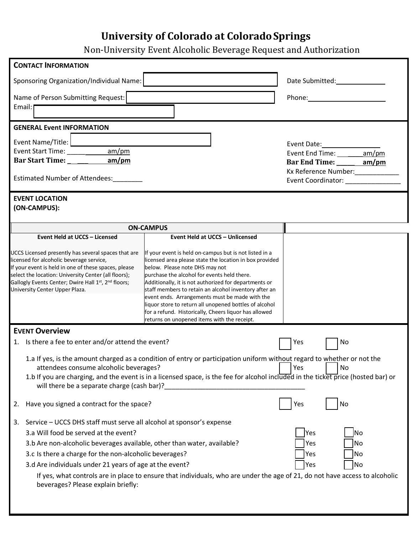## **University of Colorado at ColoradoSprings**

Non-University Event Alcoholic Beverage Request and Authorization

| <b>CONTACT INFORMATION</b>                                                                                                                                                                                                                                                                                                                                |                                                                                                                                                                                                                                                                                                                                                                                                                                                                                                                                          |                                                         |
|-----------------------------------------------------------------------------------------------------------------------------------------------------------------------------------------------------------------------------------------------------------------------------------------------------------------------------------------------------------|------------------------------------------------------------------------------------------------------------------------------------------------------------------------------------------------------------------------------------------------------------------------------------------------------------------------------------------------------------------------------------------------------------------------------------------------------------------------------------------------------------------------------------------|---------------------------------------------------------|
| Sponsoring Organization/Individual Name:                                                                                                                                                                                                                                                                                                                  | Date Submitted: 2000                                                                                                                                                                                                                                                                                                                                                                                                                                                                                                                     |                                                         |
| Name of Person Submitting Request:<br>Email:                                                                                                                                                                                                                                                                                                              |                                                                                                                                                                                                                                                                                                                                                                                                                                                                                                                                          |                                                         |
| <b>GENERAL Event INFORMATION</b>                                                                                                                                                                                                                                                                                                                          |                                                                                                                                                                                                                                                                                                                                                                                                                                                                                                                                          |                                                         |
| Event Name/Title: <b>Lawrence</b><br>am/m<br>Event Start Time: Name and Start Time:<br>Estimated Number of Attendees:                                                                                                                                                                                                                                     | Event Date: National Assembly<br>Event End Time: ________ am/pm<br>Bar End Time: _____ am/pm<br>Kx Reference Number:_____________<br>Event Coordinator: Network of Coordinator:                                                                                                                                                                                                                                                                                                                                                          |                                                         |
| <b>EVENT LOCATION</b><br>(ON-CAMPUS):                                                                                                                                                                                                                                                                                                                     |                                                                                                                                                                                                                                                                                                                                                                                                                                                                                                                                          |                                                         |
|                                                                                                                                                                                                                                                                                                                                                           | <b>ON-CAMPUS</b>                                                                                                                                                                                                                                                                                                                                                                                                                                                                                                                         |                                                         |
| Event Held at UCCS - Licensed                                                                                                                                                                                                                                                                                                                             | <b>Event Held at UCCS - Unlicensed</b>                                                                                                                                                                                                                                                                                                                                                                                                                                                                                                   |                                                         |
| UCCS Licensed presently has several spaces that are<br>licensed for alcoholic beverage service,<br>If your event is held in one of these spaces, please<br>select the location: University Center (all floors);<br>Gallogly Events Center; Dwire Hall 1st, 2nd floors;<br>University Center Upper Plaza.                                                  | If your event is held on-campus but is not listed in a<br>licensed area please state the location in box provided<br>below. Please note DHS may not<br>purchase the alcohol for events held there.<br>Additionally, it is not authorized for departments or<br>staff members to retain an alcohol inventory after an<br>event ends. Arrangements must be made with the<br>liquor store to return all unopened bottles of alcohol<br>for a refund. Historically, Cheers liquor has allowed<br>returns on unopened items with the receipt. |                                                         |
| <b>EVENT Overview</b>                                                                                                                                                                                                                                                                                                                                     |                                                                                                                                                                                                                                                                                                                                                                                                                                                                                                                                          |                                                         |
| 1. Is there a fee to enter and/or attend the event?<br>attendees consume alcoholic beverages?<br>will there be a separate charge (cash bar)?                                                                                                                                                                                                              | 1.a If yes, is the amount charged as a condition of entry or participation uniform without regard to whether or not the<br>1.b If you are charging, and the event is in a licensed space, is the fee for alcohol included in the ticket price (hosted bar) or                                                                                                                                                                                                                                                                            | Yes<br>No<br>Yes<br>No                                  |
| Have you signed a contract for the space?<br>2.                                                                                                                                                                                                                                                                                                           |                                                                                                                                                                                                                                                                                                                                                                                                                                                                                                                                          | Yes<br>No                                               |
| Service - UCCS DHS staff must serve all alcohol at sponsor's expense<br>3.<br>3.a Will food be served at the event?<br>3.b Are non-alcoholic beverages available, other than water, available?<br>3.c Is there a charge for the non-alcoholic beverages?<br>3.d Are individuals under 21 years of age at the event?<br>beverages? Please explain briefly: | If yes, what controls are in place to ensure that individuals, who are under the age of 21, do not have access to alcoholic                                                                                                                                                                                                                                                                                                                                                                                                              | <b>Yes</b><br>No<br>Yes<br>No<br>Yes<br>No<br>Yes<br>No |